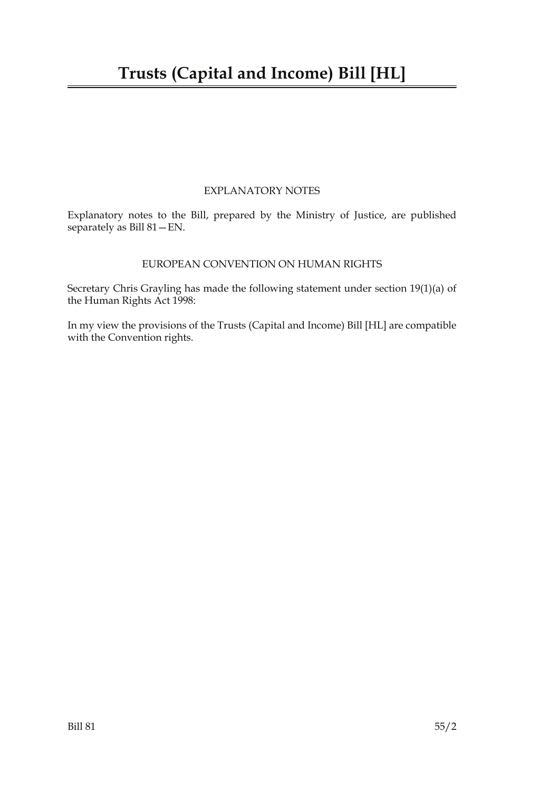### EXPLANATORY NOTES

Explanatory notes to the Bill, prepared by the Ministry of Justice, are published separately as Bill 81—EN.

#### EUROPEAN CONVENTION ON HUMAN RIGHTS

Secretary Chris Grayling has made the following statement under section 19(1)(a) of the Human Rights Act 1998:

In my view the provisions of the Trusts (Capital and Income) Bill [HL] are compatible with the Convention rights.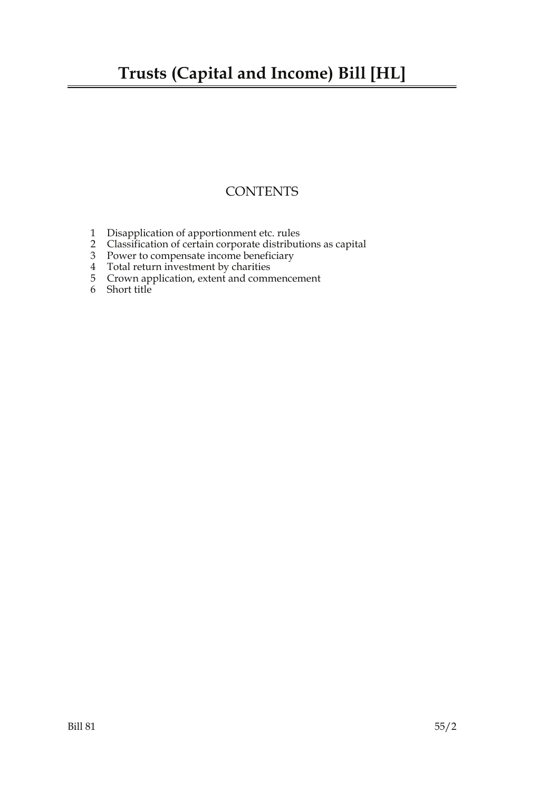## **Trusts (Capital and Income) Bill [HL]**

### **CONTENTS**

- 1 Disapplication of apportionment etc. rules
- 2 Classification of certain corporate distributions as capital
- 3 Power to compensate income beneficiary
- 4 Total return investment by charities
- 5 Crown application, extent and commencement
- 6 Short title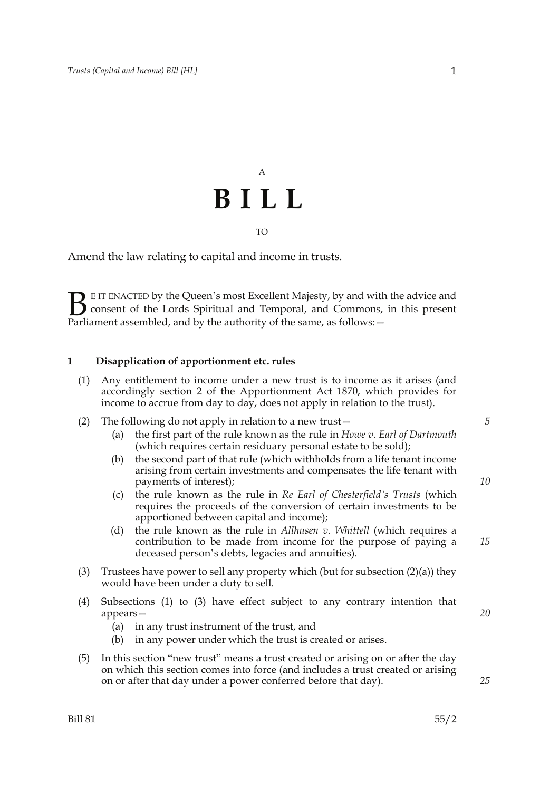# A **BILL** TO

Amend the law relating to capital and income in trusts.

E IT ENACTED by the Queen's most Excellent Majesty, by and with the advice and consent of the Lords Spiritual and Temporal, and Commons, in this present **B** E IT ENACTED by the Queen's most Excellent Majesty, by and with consent of the Lords Spiritual and Temporal, and Commons, Parliament assembled, and by the authority of the same, as follows:  $-$ 

#### **1 Disapplication of apportionment etc. rules**

- (1) Any entitlement to income under a new trust is to income as it arises (and accordingly section 2 of the Apportionment Act 1870, which provides for income to accrue from day to day, does not apply in relation to the trust).
- (2) The following do not apply in relation to a new trust—
	- (a) the first part of the rule known as the rule in *Howe v. Earl of Dartmouth* (which requires certain residuary personal estate to be sold);
	- (b) the second part of that rule (which withholds from a life tenant income arising from certain investments and compensates the life tenant with payments of interest);
	- (c) the rule known as the rule in *Re Earl of Chesterfield's Trusts* (which requires the proceeds of the conversion of certain investments to be apportioned between capital and income);
	- (d) the rule known as the rule in *Allhusen v. Whittell* (which requires a contribution to be made from income for the purpose of paying a deceased person's debts, legacies and annuities).
- (3) Trustees have power to sell any property which (but for subsection (2)(a)) they would have been under a duty to sell.
- (4) Subsections (1) to (3) have effect subject to any contrary intention that appears—
	- (a) in any trust instrument of the trust, and
	- (b) in any power under which the trust is created or arises.
- (5) In this section "new trust" means a trust created or arising on or after the day on which this section comes into force (and includes a trust created or arising on or after that day under a power conferred before that day).

*10*

*15*

*20*

*25*

*5*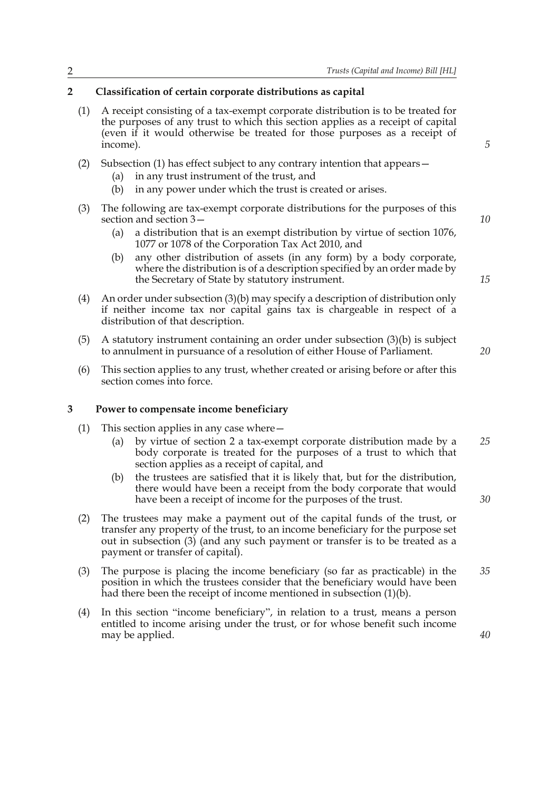#### **2 Classification of certain corporate distributions as capital**

- (1) A receipt consisting of a tax-exempt corporate distribution is to be treated for the purposes of any trust to which this section applies as a receipt of capital (even if it would otherwise be treated for those purposes as a receipt of income).
- (2) Subsection (1) has effect subject to any contrary intention that appears—
	- (a) in any trust instrument of the trust, and
	- (b) in any power under which the trust is created or arises.
- (3) The following are tax-exempt corporate distributions for the purposes of this section and section 3—
	- (a) a distribution that is an exempt distribution by virtue of section 1076, 1077 or 1078 of the Corporation Tax Act 2010, and
	- (b) any other distribution of assets (in any form) by a body corporate, where the distribution is of a description specified by an order made by the Secretary of State by statutory instrument.
- (4) An order under subsection (3)(b) may specify a description of distribution only if neither income tax nor capital gains tax is chargeable in respect of a distribution of that description.
- (5) A statutory instrument containing an order under subsection (3)(b) is subject to annulment in pursuance of a resolution of either House of Parliament.
- (6) This section applies to any trust, whether created or arising before or after this section comes into force.

#### **3 Power to compensate income beneficiary**

- (1) This section applies in any case where—
	- (a) by virtue of section 2 a tax-exempt corporate distribution made by a body corporate is treated for the purposes of a trust to which that section applies as a receipt of capital, and *25*
	- (b) the trustees are satisfied that it is likely that, but for the distribution, there would have been a receipt from the body corporate that would have been a receipt of income for the purposes of the trust.
- (2) The trustees may make a payment out of the capital funds of the trust, or transfer any property of the trust, to an income beneficiary for the purpose set out in subsection (3) (and any such payment or transfer is to be treated as a payment or transfer of capital).
- (3) The purpose is placing the income beneficiary (so far as practicable) in the position in which the trustees consider that the beneficiary would have been had there been the receipt of income mentioned in subsection (1)(b). *35*
- (4) In this section "income beneficiary", in relation to a trust, means a person entitled to income arising under the trust, or for whose benefit such income may be applied.

*10*

*15*

*20*

*30*

*40*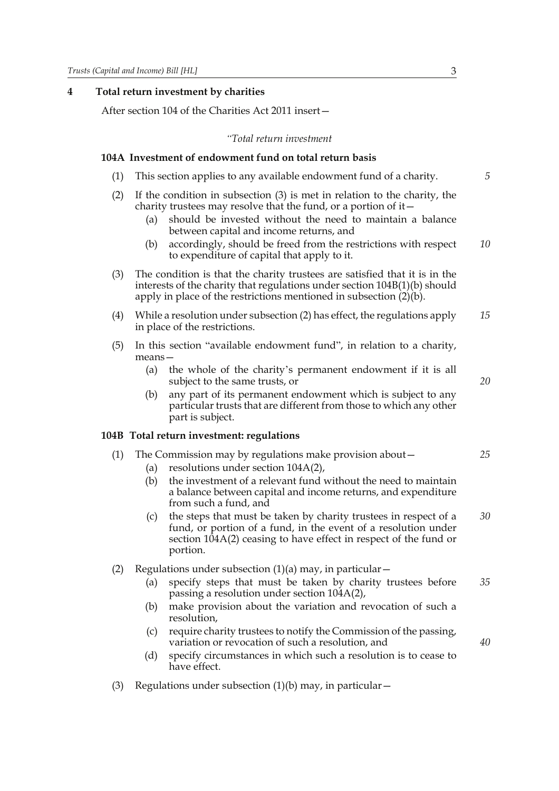#### **4 Total return investment by charities**

After section 104 of the Charities Act 2011 insert—

#### *"Total return investment*

#### **104A Investment of endowment fund on total return basis**

- (1) This section applies to any available endowment fund of a charity.
- (2) If the condition in subsection (3) is met in relation to the charity, the charity trustees may resolve that the fund, or a portion of it—
	- (a) should be invested without the need to maintain a balance between capital and income returns, and
	- (b) accordingly, should be freed from the restrictions with respect to expenditure of capital that apply to it. *10*
- (3) The condition is that the charity trustees are satisfied that it is in the interests of the charity that regulations under section 104B(1)(b) should apply in place of the restrictions mentioned in subsection (2)(b).
- (4) While a resolution under subsection (2) has effect, the regulations apply in place of the restrictions. *15*
- (5) In this section "available endowment fund", in relation to a charity, means—
	- (a) the whole of the charity's permanent endowment if it is all subject to the same trusts, or
	- (b) any part of its permanent endowment which is subject to any particular trusts that are different from those to which any other part is subject.

#### **104B Total return investment: regulations**

- (1) The Commission may by regulations make provision about— *25*
	- (a) resolutions under section 104A(2),
	- (b) the investment of a relevant fund without the need to maintain a balance between capital and income returns, and expenditure from such a fund, and
	- (c) the steps that must be taken by charity trustees in respect of a fund, or portion of a fund, in the event of a resolution under section  $104A(2)$  ceasing to have effect in respect of the fund or portion. *30*
- (2) Regulations under subsection  $(1)(a)$  may, in particular  $-$ 
	- (a) specify steps that must be taken by charity trustees before passing a resolution under section 104A(2), *35*
	- (b) make provision about the variation and revocation of such a resolution,
	- (c) require charity trustees to notify the Commission of the passing, variation or revocation of such a resolution, and
	- (d) specify circumstances in which such a resolution is to cease to have effect.
- (3) Regulations under subsection  $(1)(b)$  may, in particular  $-$

*5*

*20*

*40*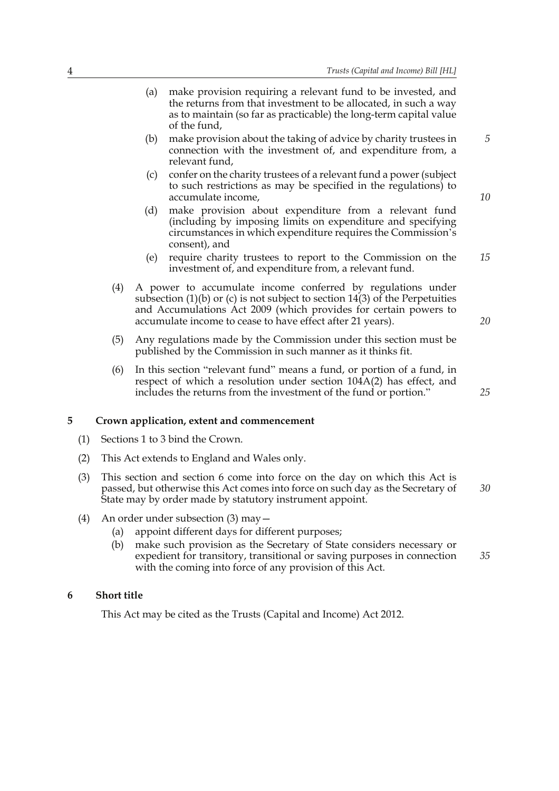*5*

*10*

*20*

*25*

- (a) make provision requiring a relevant fund to be invested, and the returns from that investment to be allocated, in such a way as to maintain (so far as practicable) the long-term capital value of the fund,
- (b) make provision about the taking of advice by charity trustees in connection with the investment of, and expenditure from, a relevant fund,
- (c) confer on the charity trustees of a relevant fund a power (subject to such restrictions as may be specified in the regulations) to accumulate income,
- (d) make provision about expenditure from a relevant fund (including by imposing limits on expenditure and specifying circumstances in which expenditure requires the Commission's consent), and
- (e) require charity trustees to report to the Commission on the investment of, and expenditure from, a relevant fund. *15*
- (4) A power to accumulate income conferred by regulations under subsection  $(1)(b)$  or  $(c)$  is not subject to section 14 $(3)$  of the Perpetuities and Accumulations Act 2009 (which provides for certain powers to accumulate income to cease to have effect after 21 years).
- (5) Any regulations made by the Commission under this section must be published by the Commission in such manner as it thinks fit.
- (6) In this section "relevant fund" means a fund, or portion of a fund, in respect of which a resolution under section 104A(2) has effect, and includes the returns from the investment of the fund or portion."

#### **5 Crown application, extent and commencement**

- (1) Sections 1 to 3 bind the Crown.
- (2) This Act extends to England and Wales only.
- (3) This section and section 6 come into force on the day on which this Act is passed, but otherwise this Act comes into force on such day as the Secretary of State may by order made by statutory instrument appoint. *30*
- (4) An order under subsection (3) may—
	- (a) appoint different days for different purposes;
	- (b) make such provision as the Secretary of State considers necessary or expedient for transitory, transitional or saving purposes in connection with the coming into force of any provision of this Act. *35*

#### **6 Short title**

This Act may be cited as the Trusts (Capital and Income) Act 2012.